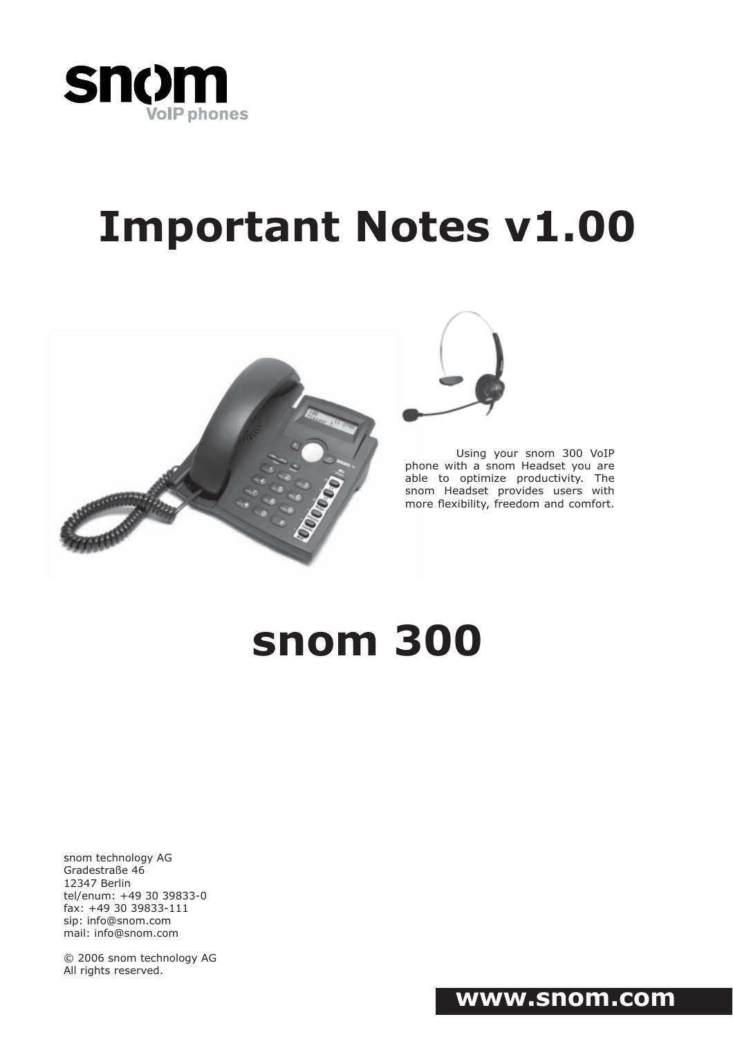

# **Important Notes v1.00**





Using your snom 300 VoIP phone with a snom Headset you are able to optimize productivity. The snom Headset provides users with more flexibility, freedom and comfort.

## **snom 300**

snom technology AG Gradestraße 46 12347 Berlin tel/enum: +49 30 39833-0 fax: +49 30 39833-111 sip: info@snom.com mail: info@snom.com

© 2006 snom technology AG All rights reserved.

## **www.snom.com**